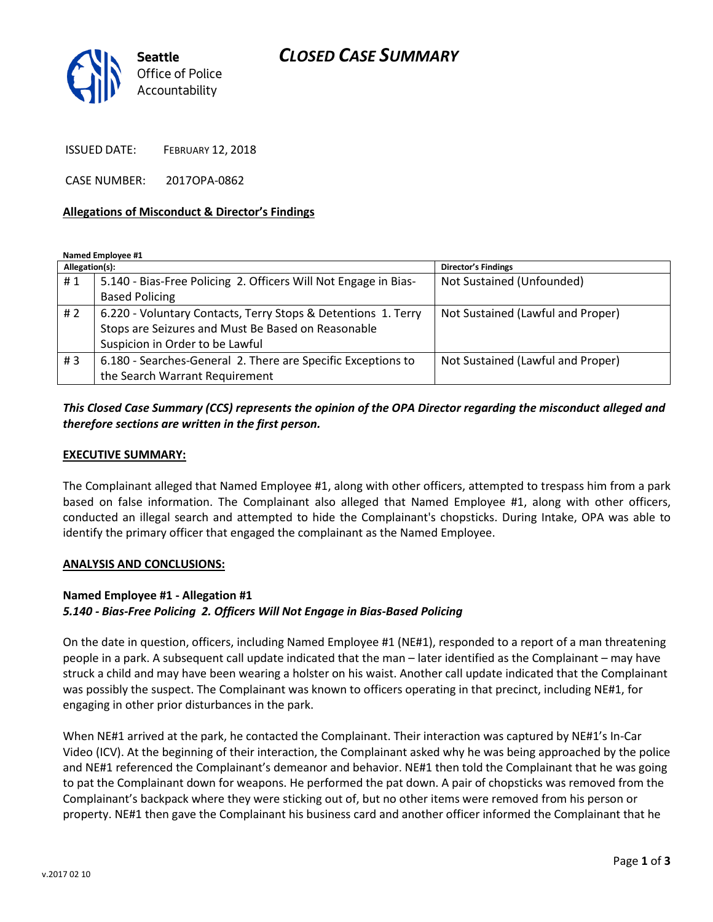## *CLOSED CASE SUMMARY*



ISSUED DATE: FEBRUARY 12, 2018

CASE NUMBER: 2017OPA-0862

### **Allegations of Misconduct & Director's Findings**

**Named Employee #1**

| Allegation(s): |                                                                 | <b>Director's Findings</b>        |
|----------------|-----------------------------------------------------------------|-----------------------------------|
| #1             | 5.140 - Bias-Free Policing 2. Officers Will Not Engage in Bias- | Not Sustained (Unfounded)         |
|                | <b>Based Policing</b>                                           |                                   |
| #2             | 6.220 - Voluntary Contacts, Terry Stops & Detentions 1. Terry   | Not Sustained (Lawful and Proper) |
|                | Stops are Seizures and Must Be Based on Reasonable              |                                   |
|                | Suspicion in Order to be Lawful                                 |                                   |
| #3             | 6.180 - Searches-General 2. There are Specific Exceptions to    | Not Sustained (Lawful and Proper) |
|                | the Search Warrant Requirement                                  |                                   |

## *This Closed Case Summary (CCS) represents the opinion of the OPA Director regarding the misconduct alleged and therefore sections are written in the first person.*

#### **EXECUTIVE SUMMARY:**

The Complainant alleged that Named Employee #1, along with other officers, attempted to trespass him from a park based on false information. The Complainant also alleged that Named Employee #1, along with other officers, conducted an illegal search and attempted to hide the Complainant's chopsticks. During Intake, OPA was able to identify the primary officer that engaged the complainant as the Named Employee.

#### **ANALYSIS AND CONCLUSIONS:**

### **Named Employee #1 - Allegation #1** *5.140 - Bias-Free Policing 2. Officers Will Not Engage in Bias-Based Policing*

On the date in question, officers, including Named Employee #1 (NE#1), responded to a report of a man threatening people in a park. A subsequent call update indicated that the man – later identified as the Complainant – may have struck a child and may have been wearing a holster on his waist. Another call update indicated that the Complainant was possibly the suspect. The Complainant was known to officers operating in that precinct, including NE#1, for engaging in other prior disturbances in the park.

When NE#1 arrived at the park, he contacted the Complainant. Their interaction was captured by NE#1's In-Car Video (ICV). At the beginning of their interaction, the Complainant asked why he was being approached by the police and NE#1 referenced the Complainant's demeanor and behavior. NE#1 then told the Complainant that he was going to pat the Complainant down for weapons. He performed the pat down. A pair of chopsticks was removed from the Complainant's backpack where they were sticking out of, but no other items were removed from his person or property. NE#1 then gave the Complainant his business card and another officer informed the Complainant that he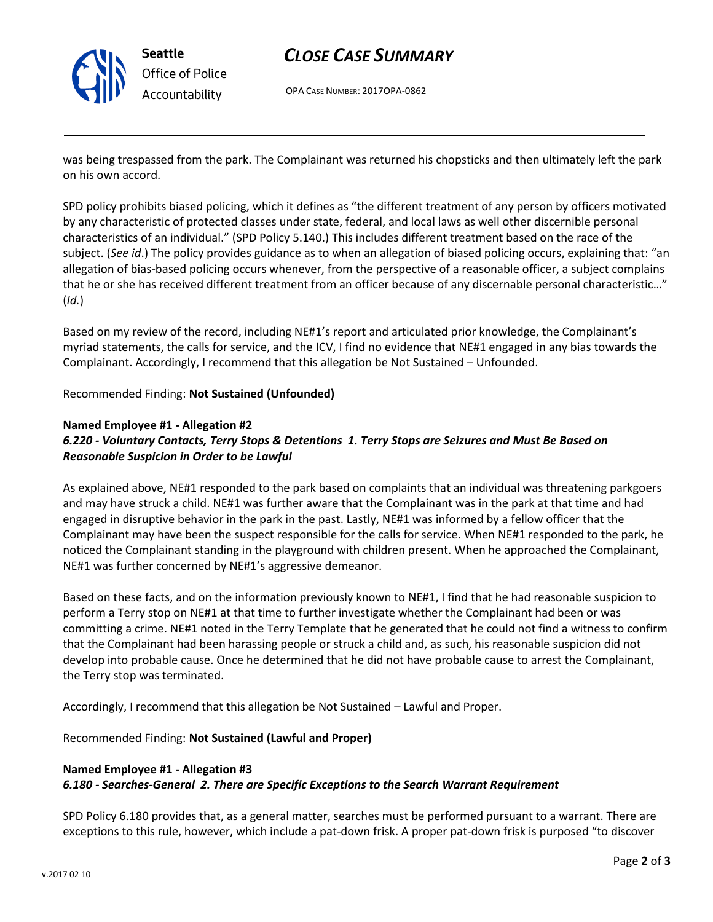

## *CLOSE CASE SUMMARY*

OPA CASE NUMBER: 2017OPA-0862

was being trespassed from the park. The Complainant was returned his chopsticks and then ultimately left the park on his own accord.

SPD policy prohibits biased policing, which it defines as "the different treatment of any person by officers motivated by any characteristic of protected classes under state, federal, and local laws as well other discernible personal characteristics of an individual." (SPD Policy 5.140.) This includes different treatment based on the race of the subject. (*See id*.) The policy provides guidance as to when an allegation of biased policing occurs, explaining that: "an allegation of bias-based policing occurs whenever, from the perspective of a reasonable officer, a subject complains that he or she has received different treatment from an officer because of any discernable personal characteristic…" (*Id.*)

Based on my review of the record, including NE#1's report and articulated prior knowledge, the Complainant's myriad statements, the calls for service, and the ICV, I find no evidence that NE#1 engaged in any bias towards the Complainant. Accordingly, I recommend that this allegation be Not Sustained – Unfounded.

Recommended Finding: **Not Sustained (Unfounded)**

## **Named Employee #1 - Allegation #2** *6.220 - Voluntary Contacts, Terry Stops & Detentions 1. Terry Stops are Seizures and Must Be Based on Reasonable Suspicion in Order to be Lawful*

As explained above, NE#1 responded to the park based on complaints that an individual was threatening parkgoers and may have struck a child. NE#1 was further aware that the Complainant was in the park at that time and had engaged in disruptive behavior in the park in the past. Lastly, NE#1 was informed by a fellow officer that the Complainant may have been the suspect responsible for the calls for service. When NE#1 responded to the park, he noticed the Complainant standing in the playground with children present. When he approached the Complainant, NE#1 was further concerned by NE#1's aggressive demeanor.

Based on these facts, and on the information previously known to NE#1, I find that he had reasonable suspicion to perform a Terry stop on NE#1 at that time to further investigate whether the Complainant had been or was committing a crime. NE#1 noted in the Terry Template that he generated that he could not find a witness to confirm that the Complainant had been harassing people or struck a child and, as such, his reasonable suspicion did not develop into probable cause. Once he determined that he did not have probable cause to arrest the Complainant, the Terry stop was terminated.

Accordingly, I recommend that this allegation be Not Sustained – Lawful and Proper.

Recommended Finding: **Not Sustained (Lawful and Proper)**

### **Named Employee #1 - Allegation #3** *6.180 - Searches-General 2. There are Specific Exceptions to the Search Warrant Requirement*

SPD Policy 6.180 provides that, as a general matter, searches must be performed pursuant to a warrant. There are exceptions to this rule, however, which include a pat-down frisk. A proper pat-down frisk is purposed "to discover